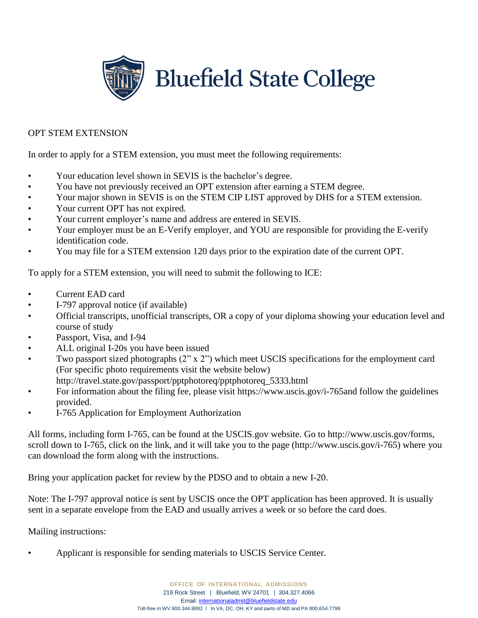

## OPT STEM EXTENSION

In order to apply for a STEM extension, you must meet the following requirements:

- Your education level shown in SEVIS is the bachelor's degree.
- You have not previously received an OPT extension after earning a STEM degree.
- Your major shown in SEVIS is on the STEM CIP LIST approved by DHS for a STEM extension.
- Your current OPT has not expired.
- Your current employer's name and address are entered in SEVIS.
- Your employer must be an E-Verify employer, and YOU are responsible for providing the E-verify identification code.
- You may file for a STEM extension 120 days prior to the expiration date of the current OPT.

To apply for a STEM extension, you will need to submit the following to ICE:

- Current EAD card
- I-797 approval notice (if available)
- Official transcripts, unofficial transcripts, OR a copy of your diploma showing your education level and course of study
- Passport, Visa, and I-94
- ALL original I-20s you have been issued
- Two passport sized photographs (2" x 2") which meet USCIS specifications for the employment card (For specific photo requirements visit the website below) [http://travel.state.gov/passport/pptphotoreq/pptphotoreq\\_5333.html](http://travel.state.gov/passport/pptphotoreq/pptphotoreq_5333.html)
- For information about the filing fee, please visit https:/[/www.uscis.gov/i-765and](http://www.uscis.gov/i-765and) follow the guidelines provided.
- I-765 Application for Employment Authorization

All forms, including form I-765, can be found at the USCIS.gov website. Go to [http://www.uscis.gov/forms,](http://www.uscis.gov/forms) scroll down to I-765, click on the link, and it will take you to the page [\(http://www.uscis.gov/i-765\) w](http://www.uscis.gov/i-765))here you can download the form along with the instructions.

Bring your application packet for review by the PDSO and to obtain a new I-20.

Note: The I-797 approval notice is sent by USCIS once the OPT application has been approved. It is usually sent in a separate envelope from the EAD and usually arrives a week or so before the card does.

Mailing instructions:

• Applicant is responsible for sending materials to USCIS Service Center.